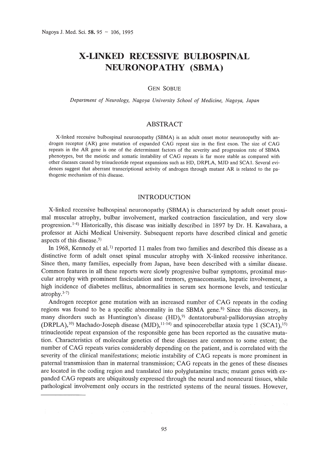# **X-LINKED RECESSIVE BULBOSPINAL NEURONOPATHY (SBMA)**

### GEN SOBUE

*Department of Neurology, Nagoya University School of Medicine, Nagoya, Japan*

# ABSTRACT

X-linked recessive bulbospinal neuronopathy (SBMA) is an adult onset motor neuronopathy with androgen receptor (AR) gene mutation of expanded CAG repeat size in the first exon. The size of CAG repeats in the AR gene is one of the determinant factors of the severity and progression rate of SBMA phenotypes, but the meiotic and somatic instability of CAG repeats is far more stable as compared with other diseases caused by trinucleotide repeat expansions such as HD, DRPLA, MJD and SCAL Several evidences suggest that aberrant transcriptional activity of androgen through mutant AR is related to the pathogenic mechanism of this disease.

### INTRODUCTION

X-linked recessive bulbospinal neuronopathy (SBMA) is characterized by adult onset proximal muscular atrophy, bulbar involvement, marked contraction fasciculation, and very slow progression.<sup>1-4)</sup> Historically, this disease was initially described in 1897 by Dr. H. Kawahara, a professor at Aichi Medical University. Subsequent reports have described clinical and genetic aspects of this disease.<sup>5)</sup>

In 1968, Kennedy et al.<sup>1)</sup> reported 11 males from two families and described this disease as a distinctive form of adult onset spinal muscular atrophy with X-linked recessive inheritance. Since then, many families, especially from Japan, have been described with a similar disease. Common features in all these reports were slowly progressive bulbar symptoms, proximal muscular atrophy with prominent fasciculation and tremors, gynaecomastia, hepatic involvement, a high incidence of diabetes mellitus, abnormalities in serum sex hormone levels, and testicular atrophy. $3-7$ )

Androgen receptor gene mutation with an increased number of CAG repeats in the coding regions was found to be a specific abnormality in the SBMA gene.<sup>8)</sup> Since this discovery, in many disorders such as Huntington's disease (HD),<sup>9)</sup> dentatorubural-pallidoruysian atrophy  $(DRPLA)$ ,<sup>10)</sup> Machado-Joseph disease  $(MJD)$ ,<sup>11-14</sup>) and spinocerebellar ataxia type 1 (SCA1),<sup>15)</sup> trinucleotide repeat expansion of the responsible gene has been reported as the causative mutation. Characteristics of molecular genetics of these diseases are common to some extent; the number of CAG repeats varies considerably depending on the patient, and is correlated with the severity of the clinical manifestations; meiotic instability of CAG repeats is more prominent in paternal transmission than in maternal transmission; CAG repeats in the genes of these diseases are located in the coding region and translated into polyglutamine tracts; mutant genes with expanded CAG repeats are ubiquitously expressed through the neural and nonneural tissues, while pathological involvement only occurs in the restricted systems of the neural tissues. However,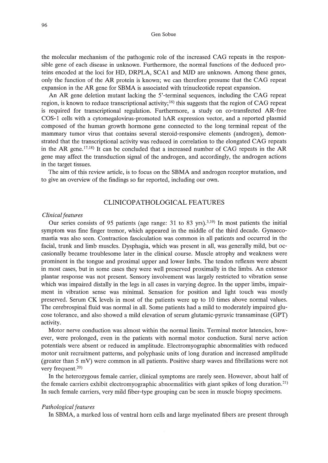the molecular mechanism of the pathogenic role of the increased CAG repeats in the responsible gene of each disease in unknown. Furthermore, the normal functions of the deduced proteins encoded at the loci for HD, DRPLA, SCA1 and MJD are unknown. Among these genes, only the function of the AR protein is known; we can therefore presume that the CAG repeat expansion in the AR gene for SBMA is associated with trinucleotide repeat expansion.

An AR gene deletion mutant lacking the 5'-terminal sequences, including the CAG repeat region, is known to reduce transcriptional activity;<sup>16)</sup> this suggests that the region of CAG repeat is required for transcriptional regulation. Furthermore, a study on co-transfected AR-free COS-1 cells with a cytomegalovirus-promoted hAR expression vector, and a reported plasmid composed of the human growth hormone gene connected to the long terminal repeat of the mammary tumor virus that contains several steroid-responsive elements (androgen), demonstrated that the transcriptional activity was reduced in correlation to the elongated CAG repeats in the AR gene.<sup>17,18)</sup> It can be concluded that a increased number of CAG repeats in the AR gene may affect the transduction signal of the androgen, and accordingly, the androgen actions in the target tissues.

The aim of this review article, is to focus on the SBMA and androgen receptor mutation, and to give an overview of the findings so far reported, including our own.

# CLINICOPATHOLOGICAL FEATURES

### *Clinical features*

Our series consists of 95 patients (age range: 31 to 83 yrs).<sup>3,19</sup> In most patients the initial symptom was fine finger tremor, which appeared in the middle of the third decade. Gynaecomastia was also seen. Contraction fasciculation was common in all patients and occurred in the facial, trunk and limb muscles. Dysphagia, which was present in all, was generally mild, but occasionally became troublesome later in the clinical course. Muscle atrophy and weakness were prominent in the tongue and proximal upper and lower limbs. The tendon reflexes were absent in most cases, but in some cases they were well preserved proximally in the limbs. An extensor plantar response was not present. Sensory involvement was largely restricted to vibration sense which was impaired distally in the legs in all cases in varying degree. In the upper limbs, impairment in vibration sense was minimal. Sensation for position and light touch was mostly preserved. Serum CK levels in most of the patients were up to 10 times above normal values, The cerebrospinal fluid was normal in all. Some patients had a mild to moderately impaired glucose tolerance, and also showed a mild elevation of serum glutamic-pyruvic transaminase (GPT) activity.

Motor nerve conduction was almost within the normal limits. Terminal motor latencies, however, were prolonged, even in the patients with normal motor conduction. Sural nerve action potentials were absent or reduced in amplitude. Electromyographic abnormalities with reduced motor unit recruitment patterns, and polyphasic units of long duration and increased amplitude (greater than 5 mV) were common in all patients. Positive sharp waves and fibrillations were not very frequent.<sup>20)</sup>

In the heterozygous female carrier, clinical symptoms are rarely seen. However, about half of the female carriers exhibit electromyographic abnormalities with giant spikes of long duration.<sup>21)</sup> In such female carriers, very mild fiber-type grouping can be seen in muscle biopsy specimens.

#### *Pathological features*

In SBMA, a marked loss of ventral horn cells and large myelinated fibers are present through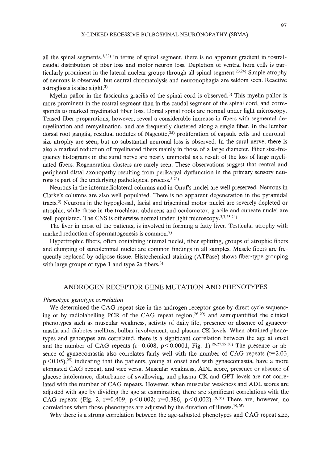all the spinal segments.<sup>3,22)</sup> In terms of spinal segment, there is no apparent gradient in rostralcaudal distribution of fiber loss and motor neuron loss. Depletion of ventral horn cells is particularly prominent in the lateral nuclear groups through all spinal segment.<sup>23,24</sup>) Simple atrophy of neurons is observed, but central chromatolysis and neuronophagia are seldom seen. Reactive astrogliosis is also slight. $3$ )

Myelin pallor in the fasciculus gracilis of the spinal cord is observed.<sup>3)</sup> This myelin pallor is more prominent in the rostral segment than in the caudal segment of the spinal cord, and corresponds to marked myelinated fiber loss. Dorsal spinal roots are normal under light microscopy. Teased fiber preparations, however, reveal a considerable increase in fibers with segmental demyelination and remyelination, and are frequently clustered along a single fiber. In the lumbar dorsal root ganglia, residual nodules of Nageotte, $^{25}$  proliferation of capsule cells and neuronalsize atrophy are seen, but no substantial neuronal loss is observed. In the sural nerve, there is also a marked reduction of myelinated fibers mainly in those of a large diameter. Fiber size-frequency histograms in the sural nerve are nearly unimodal as a result of the loss of large myelinated fibers. Regeneration clusters are rarely seen. These observations suggest that central and peripheral distal axonopathy resulting from perikaryal dysfunction in the primary sensory neurons is part of the underlying pathological process.<sup>3,25)</sup>

Neurons in the intermediolateral columns and in Onufs nuclei are well preserved. Neurons in Clarke's columns are also well populated. There is no apparent degeneration in the pyramidal tracts.3) Neurons in the hypoglossal, facial and trigeminal motor nuclei are severely depleted or atrophic, while those in the trochlear, abducens and oculomotor, gracile and cuneate nuclei are well populated. The CNS is otherwise normal under light microscopy.<sup>3,7,23,24)</sup>

The liver in most of the patients, is involved in forming a fatty liver. Testicular atrophy with marked reduction of spermatogenesis is common.<sup>7)</sup>

Hypertrophic fibers, often containing internal nuclei, fiber splitting, groups of atrophic fibers and clumping of sarcolemmal nuclei are common findings in all samples. Muscle fibers are frequently replaced by adipose tissue. Histochemical staining (ATPase) shows fiber-type grouping with large groups of type 1 and type 2a fibers.<sup>3)</sup>

# ANDROGEN RECEPTOR GENE MUTATION AND PHENOTYPES

#### *Phenotype-genotype correlation*

We determined the CAG repeat size in the androgen receptor gene by direct cycle sequencing or by radiolabelling PCR of the CAG repeat region,<sup>26-29)</sup> and semiquantified the clinical phenotypes such as muscular weakness, activity of daily life, presence or absence of gynaecomastia and diabetes mellitus, bulbar involvement, and plasma CK levels. When obtained phenotypes and genotypes are correlated, there is a significant correlation between the age at onset and the number of CAG repeats ( $r=0.608$ ,  $p < 0.0001$ , Fig. 1).<sup>26,27,29,30</sup> The presence or absence of gynaecomastia also correlates fairly well with the number of CAG repeats  $(t=2.03,$  $p \leq 0.05$ ,<sup>25)</sup> indicating that the patients, young at onset and with gynaecomastia, have a more elongated CAG repeat, and vice versa. Muscular weakness, ADL score, presence or absence of glucose intolerance, disturbance of swallowing, and plasma CK and GPT levels are not correlated with the number of CAG repeats. However, when muscular weakness and ADL scores are adjusted with age by dividing the age at examination, there are significant correlations with the CAG repeats (Fig. 2,  $r=0.409$ ,  $p < 0.002$ ;  $r=0.386$ ,  $p < 0.002$ ).<sup>19,26</sup>) There are, however, no correlations when those phenotypes are adjusted by the duration of illness.  $19,26$ 

Why there is a strong correlation between the age-adjusted phenotypes and CAG repeat size,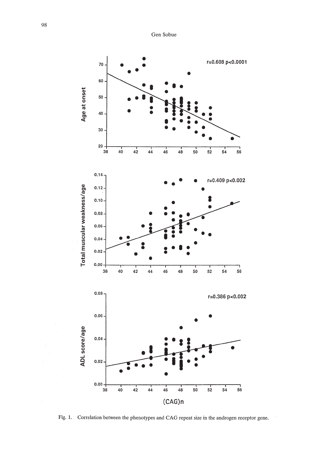

Fig. l. Correlation between the phenotypes and CAG repeat size in the androgen receptor gene.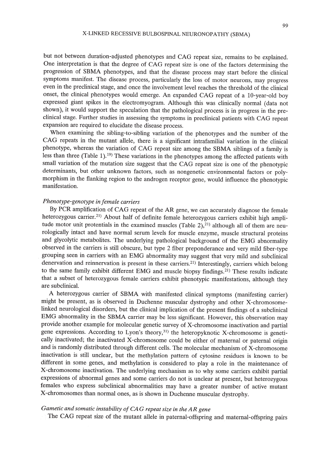but not between duration-adjusted phenotypes and CAG repeat size, remains to be explained. One interpretation is that the degree of CAG repeat size is one of the factors determining the progression of SBMA phenotypes, and that the disease process may start before the clinical symptoms manifest. The disease process, particularly the loss of motor neurons, may progress even in the preclinical stage, and once the involvement level reaches the threshold of the clinical onset, the clinical phenotypes would emerge. An expanded CAG repeat of a 10-year-old boy expressed giant spikes in the electromyogram. Although this was clinically normal (data not shown), it would support the speculation that the pathological process is in progress in the preclinical stage. Further studies in assessing the symptoms in preclinical patients with CAG repeat expansion are required to elucidate the disease process.

When examining the sibling-to-sibling variation of the phenotypes and the number of the CAG repeats in the mutant allele, there is a significant intrafamilial variation in the clinical phenotype, whereas the variation of CAG repeat size among the SBMA siblings of a family is less than three (Table 1).<sup>19)</sup> These variations in the phenotypes among the affected patients with small variation of the mutation size suggest that the CAG repeat size is one of the phenotypic determinants, but other unknown factors, such as nongenetic environmental factors or polymorphism in the flanking region to the androgen receptor gene, would influence the phenotypic manifestation.

# *Phenotype-genotype in female carriers*

By PCR amplification of CAG repeat of the AR gene, we can accurately diagnose the female heterozygous carrier.<sup>21)</sup> About half of definite female heterozygous carriers exhibit high amplitude motor unit protentials in the examined muscles (Table 2), $^{21}$ ) although all of them are neurologically intact and have normal serum levels for muscle enzyme, muscle structural proteins and glycolytic metabolites. The underlying pathological background of the EMG abnormality observed in the carriers is still obscure, but type 2 fiber preponderance and very mild fiber-type grouping seen in carriers with an EMG abnormality may suggest that very mild and subclinical denervation and reinnervation is present in these carriers.<sup>21)</sup> Interestingly, carriers which belong to the same family exhibit different EMG and muscle biopsy findings.<sup>21)</sup> These results indicate that a subset of heterozygous female carriers exhibit phenotypic manifestations, although they are subclinical.

A heterozygous carrier of SBMA with manifested clinical symptoms (manifesting carrier) might be present, as is observed in Duchenne muscular dystrophy and other X-chromosomelinked neurological disorders, but the clinical implication of the present findings of a subclinical EMG abnormality in the SBMA carrier may be less significant. However, this observation may provide another example for molecular genetic survey of X-chromosome inactivation and partial gene expressions. According to Lyon's theory,31) the heteropyknotic X-chromosome is genetically inactivated; the inactivated X-chromosome could be either of maternal or paternal origin and is randomly distributed through different cells. The molecular mechanism of X-chromosome inactivation is still unclear, but the methylation pattern of cytosine residues is known to be different in some genes, and methylation is considered to play a role in the maintenance of X-chromosome inactivation. The underlying mechanism as to why some carriers exhibit partial expressions of abnormal genes and some carriers do not is unclear at present, but heterozygous females who express subclinical abnormalities may have a greater number of active mutant X-chromosomes than normal ones, as is shown in Duchenne muscular dystrophy.

# *Gametic and somatic instability ofCA* G *repeat size in the AR gene*

The CAG repeat size of the mutant allele in paternal-offspring and maternal-offspring pairs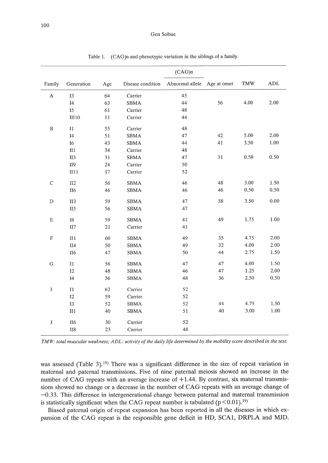|              |                   |        |                   | (CAG)n                       |    |      |                  |
|--------------|-------------------|--------|-------------------|------------------------------|----|------|------------------|
| Family       | Generation        | Age    | Disease condition | Abnormal allele Age at onset |    | TMW  | $\mbox{\rm ADL}$ |
| $\mathbf A$  | 13                | 64     | Carrier           | 45                           |    |      |                  |
|              | $_{\mathrm{I}4}$  | 63     | ${\tt SBMA}$      | 44                           | 56 | 4.00 | 2.00             |
|              | 15                | 61     | Carrier           | 48                           |    |      |                  |
|              | <b>III10</b>      | 11     | Carrier           | 44                           |    |      |                  |
| $\, {\bf B}$ | $_{11}$           | 55     | Carrier           | 48                           |    |      |                  |
|              | I <sub>4</sub>    | 51     | <b>SBMA</b>       | 47                           | 42 | 5.00 | 2.00             |
|              | $I6$              | 43     | SBMA              | 44                           | 41 | 3.50 | 1.00             |
|              | $\rm II\,1$       | 34     | Carrier           | 48                           |    |      |                  |
|              | II3               | 31     | <b>SBMA</b>       | 47                           | 31 | 0.50 | 0.50             |
|              | <b>II9</b>        | 24     | Carrier           | 50                           |    |      |                  |
|              | II11              | 17     | Carrier           | 52                           |    |      |                  |
| $\mathbf C$  | II2               | 56     | <b>SBMA</b>       | 46                           | 48 | 3.00 | 1.50             |
|              | II6               | 46     | <b>SBMA</b>       | 46                           | 46 | 0.50 | 0.50             |
| $\mathbf D$  | <b>II3</b>        | 59     | <b>SBMA</b>       | 47                           | 58 | 3.50 | 0.00             |
|              | II <sub>5</sub>   | 56     | <b>SBMA</b>       | 47                           |    |      |                  |
| ${\bf E}$    | I6                | 59     | <b>SBMA</b>       | 41                           | 49 | 1.75 | 1.00             |
|              | $\rm II7$         | $21\,$ | Carrier           | 41                           |    |      |                  |
| $\mathbf F$  | II1               | 60     | <b>SBMA</b>       | 49                           | 35 | 4.75 | 2.00             |
|              | $\rm II4$         | 50     | <b>SBMA</b>       | 49                           | 32 | 4.00 | 2.00             |
|              | $\rm II6$         | 47     | <b>SBMA</b>       | 50                           | 44 | 2.75 | 1.50             |
| G            | 11                | 56     | <b>SBMA</b>       | 47                           | 47 | 4.00 | 1.50             |
|              | $12 \overline{ }$ | 48     | <b>SBMA</b>       | 46                           | 47 | 1.25 | 2.00             |
|              | $I4$              | 36     | SBMA              | 48                           | 36 | 2.50 | 0.50             |
| $\mathbf I$  | $\mathbf{I}$      | 62     | Carrier           | 52                           |    |      |                  |
|              | 12                | 59     | Carrier           | 52                           |    |      |                  |
|              | 13                | 52     | <b>SBMA</b>       | 52                           | 44 | 4.75 | 1.50             |
|              | II1               | 40     | <b>SBMA</b>       | 51                           | 40 | 3.00 | 1.00             |
| ${\bf J}$    | II6               | 30     | Carrier           | 52                           |    |      |                  |
|              | $_{\rm H8}$       | 23     | Carrier           | 48                           |    |      |                  |

Table 1. (CAG)n and phenotypic variation in the siblings of a family.

TMW: total muscular weakness; ADL: activity of the daily life determined by the mobility score described in the text.

was assessed (Table 3).<sup>19)</sup> There was a significant difference in the size of repeat variation in maternal and paternal transmissions. Five of nine paternal meiosis showed an increase in the number of CAG repeats with an average increase of  $+1.44$ . By contrast, six maternal transmissions showed no change or a decrease in the number of CAG repeats with an average change of -0.33. This difference in intergenerational change between paternal and maternal transmission is statistically significant when the CAG repeat number is tabulated ( $p < 0.01$ ).<sup>19)</sup>

Biased paternal origin of repeat expansion has been reported in all the diseases in which expansion of the CAG repeat is the responsible gene deficit in HD, SCA1, DRPLA and MJD.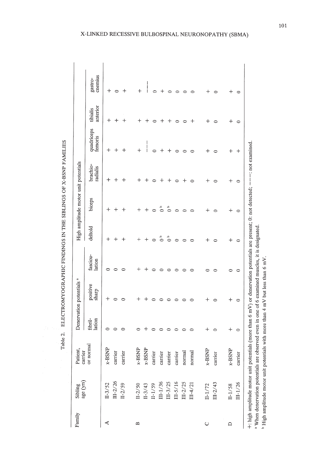|  |  |  | . ELECTROMYOGRAPHIC FINDINGS IN THE SIBLINGS OF X-BSNP FAMILIES |
|--|--|--|-----------------------------------------------------------------|
|  |  |  | Table 2.                                                        |

| Family       | age (yrs)<br>Sibling | Patient,<br>carrier |                    | Denervation potentials <sup>a</sup> |                    |                    |                          | High amplitude motor unit potentials |                                  |                      |                                  |
|--------------|----------------------|---------------------|--------------------|-------------------------------------|--------------------|--------------------|--------------------------|--------------------------------------|----------------------------------|----------------------|----------------------------------|
|              |                      | or normal           | fibril-<br>lation  | positive<br>sharp                   | fascicu-<br>lation | deltold            | biceps                   | brachio-<br>radialis                 | quadriceps<br>femoris            | anterior<br>tibialis | cnemius<br>gastro-               |
| ⋖            | $II-3/52$            | x-BSNP              | $\circ$            | $\,+\,$                             | 0                  | $\,{}^+$           | $\,+\,$                  | $^+$                                 | $^{+}$                           | $\hspace{0.1mm} +$   | $\,{}^+$                         |
|              | $III - 2/26$         | carrier             | $\circ$            | 0                                   | 0                  | $\,{}^+$           | $^{+}$                   | $\, + \,$                            | $\,+\,$                          | $\,{}^+$             | 0                                |
|              | $II - 2/59$          | carrier             | 0                  | 0                                   | $\circ$            | $\ddag$            | $\,+\,$                  | $\,+\,$                              | $\hspace{0.1mm} +\hspace{0.1mm}$ | $^{+}$               |                                  |
| $\mathbf{z}$ | $II - 2/50$          | $x$ -BSNP           |                    |                                     |                    | $\hspace{0.1mm} +$ | $^+$                     | ┿                                    | $\ddot{+}$                       | ┿                    | $\,{}^+$                         |
|              | $II-3/43$            | $x-BSNP$            |                    |                                     |                    | $\,+\,$            | $\,{}^+$                 | ┿                                    | $\frac{1}{1}$                    |                      | I<br>ļ                           |
|              | $II - 1/59$          | carrier             | 0                  |                                     | ٥                  | $\circ$            | 0                        | 0                                    | ⊂                                | 0                    | 0                                |
|              | $III-1/36$           | carrier             | 0                  |                                     | 0                  | $\int_0^a$         | $\sigma$                 | $\, + \,$                            |                                  | ┽                    | ┿                                |
|              | $III-3/25$           | carrier             | 0                  |                                     | 0                  | $\int_0^a$         | $\int_{0}^{\frac{1}{2}}$ | $\,+\,$                              | ┿                                | ┽                    | 0                                |
|              | $III - 5/16$         | carrier             | 0                  |                                     | 0                  | $\circ$            | $\circ$                  | 0                                    | 0                                | $\circ$              | 0                                |
|              | $III - 2/25$         | normal              | 0                  | 0                                   | 0                  | 0                  | 0                        | ┿                                    |                                  | 0                    | ⊂                                |
|              | $III - 4/21$         | normal              | 0                  | 0                                   | 0                  | $\circ$            | 0                        | $\circ$                              |                                  | $^+$                 | ∊                                |
| $\cup$       | $II - 1/72$          | $x-BSNP$            |                    |                                     |                    | ┿                  |                          | ┿                                    |                                  | ┿                    | $\hspace{0.1mm} +\hspace{0.1mm}$ |
|              | $III - 2/43$         | carrier             | 0                  | $\circ$                             | $\circ$            | 0                  | 0                        | 0                                    | 0                                | 0                    | 0                                |
| $\Box$       | $II - 1/58$          | $x$ -BSNP           | $\hspace{0.1mm} +$ | $\,^+$                              | 0                  | $\boldsymbol{+}$   | $^{+}$                   | $\hspace{0.1mm} +\hspace{0.1mm}$     | $\, + \,$                        | $\,{}^+$             | ┿                                |
|              | $III - 1/26$         | carrier             | $\circ$            | $\circ$                             | $\circ$            | $\circ$            | $\circ$                  | $\circ$                              | $\,+\,$                          | $\circ$              | $\circ$                          |

#### ID RECESSIVE BULBOSPINAL NEURONOPATHY (SI

When denervation potentials are observed even in one of 6 examined muscles, it is designated.

 $b$  High amplitude motor unit potentials with more than 4 mV but less than 6 mV. High amplitude motor unit potentials with more than 4 mV but less than 6 mV.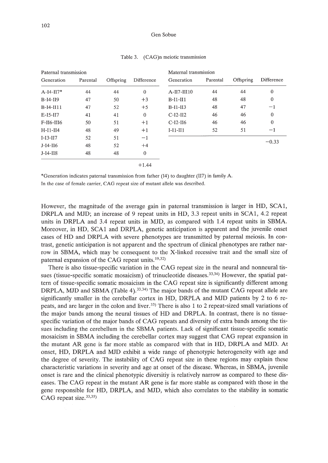| Paternal transmission |          |           |              | Maternal transmission |          |           |            |
|-----------------------|----------|-----------|--------------|-----------------------|----------|-----------|------------|
| Generation            | Parental | Offspring | Difference   | Generation            | Parental | Offspring | Difference |
| $A-I4-II7*$           | 44       | 44        | $\theta$     | $A-II7-III10$         | 44       | 44        | $\bf{0}$   |
| $B-I4-II9$            | 47       | 50        | $+3$         | $B-11-I11$            | 48       | 48        | $\bf{0}$   |
| $B-I4-II11$           | 47       | 52        | $+5$         | $B-I1-II3$            | 48       | 47        | $-1$       |
| $E-I5-II7$            | 41       | 41        | $\theta$     | $C-I2-II2$            | 46       | 46        | $\theta$   |
| F-II6-III6            | 50       | 51        | $+1$         | $C-I2-II6$            | 46       | 46        | $\theta$   |
| $H-I1-II4$            | 48       | 49        | $+1$         | $I-I1-II1$            | 52       | 51        | $-1$       |
| $I-I3-II7$            | 52       | 51        | $-1$         |                       |          |           | $-0.33$    |
| $J-I4-II6$            | 48       | 52        | $+4$         |                       |          |           |            |
| $J-I4-I18$            | 48       | 48        | $\mathbf{0}$ |                       |          |           |            |
|                       |          |           | $+144$       |                       |          |           |            |

| Table 3. |  | (CAG) n meiotic transmission |
|----------|--|------------------------------|
|          |  |                              |

\*Generation indicates paternal transmission from father (14) to daughter (1I7) in family A. In the case of female carrier, CAG repeat size of mutant allele was described.

However, the magnitude of the average gain in paternal transmission is larger in HD, SCA1, DRPLA and MJD; an increase of 9 repeat units in HD, 3.3 repeat units in SCA1, 4.2 repeat units in DRPLA and 3.4 repeat units in MJD, as compared with 1.4 repeat units in SBMA. Moreover, in HD, SCA1 and DRPLA, genetic anticipation is apparent and the juvenile onset cases of HD and DRPLA with severe phenotypes are transmitted by paternal meiosis. In contrast, genetic anticipation is not apparent and the spectrum of clinical phenotypes are rather narrow in SBMA, which may be consequent to the X-linked recessive trait and the small size of paternal expansion of the CAG repeat units. 19,32)

There is also tissue-specific variation in the CAG repeat size in the neural and nonneural tissues (tissue-specific somatic mosaicism) of trinucleotide diseases.<sup>33,34)</sup> However, the spatial pattern of tissue-specific somatic mosaicism in the CAG repeat size is significantly different among DRPLA, MJD and SBMA (Table 4).33,34) The major bands of the mutant CAG repeat allele are significantly smaller in the cerebellar cortex in HD, DRPLA and MJD patients by 2 to 6 repeats, and are larger in the colon and liver. 33) There is also 1 to 2 repeat-sized small variations of the major bands among the neural tissues of HD and DRPLA. In contrast, there is no tissuespecific variation of the major bands of CAG repeats and diversity of extra bands among the tissues including the cerebellum in the SBMA patients. Lack of significant tissue-specific somatic mosaicism in SBMA including the cerebellar cortex may suggest that CAG repeat expansion in the mutant AR gene is far more stable as compared with that in HD, DRPLA and MJD. At onset, HD, DRPLA and MJD exhibit a wide range of phenotypic heterogeneity with age and the degree of severity. The instability of CAG repeat size in these regions may explain these characteristic variations in severity and age at onset of the disease. Whereas, in SBMA, juvenile onset is rare and the clinical phenotypic diversitiy is relatively narrow as compared to these diseases. The CAG repeat in the mutant AR gene is far more stable as compared with those in the gene responsible for HD, DRPLA, and MJD, which also correlates to the stability in somatic CAG repeat size.<sup>33,35)</sup>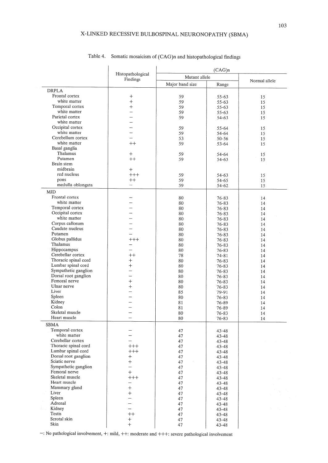|                                            |                                    |                 | (CAG)n         |               |
|--------------------------------------------|------------------------------------|-----------------|----------------|---------------|
|                                            | Histopathological<br>Findings      | Mutant allele   |                |               |
|                                            |                                    | Major band size | Range          | Normal allele |
| <b>DRPLA</b>                               |                                    |                 |                |               |
| Frontal cortex                             | $\ddag$                            | 59              | $55 - 63$      | 15            |
| white matter                               | $\ddot{}$                          | 59              | $55 - 63$      | 15            |
| Temporal cortex                            | $^{+}$                             | 59              | $55 - 63$      | 15            |
| white matter                               | $\overline{\phantom{0}}$           | 59              | $55 - 63$      | 15            |
| Parietal cortex                            |                                    | 59              | 54-63          | 15            |
| white matter                               |                                    |                 |                |               |
| Occipital cortex                           |                                    | 59              | 55-64          | 15            |
| white matter                               |                                    | 59              | $54 - 64$      | 15            |
| Cerebellum cortex                          |                                    | 53              | $50 - 56$      | 15            |
| white matter<br>Basal ganglia              | $^{++}$                            | 59              | 53-64          | 15            |
| Thalamus                                   | $^{+}$                             | 59              |                |               |
| Putamen                                    | $^{++}$                            | 59              | 54-64<br>54-63 | 15            |
| Brain stem                                 |                                    |                 |                | 15            |
| midbrain                                   | $+$                                |                 |                |               |
| red nucleus                                | $+++$                              | 59              | 54-63          | 15            |
| pons                                       | $^{++}$                            | 59              | 54-65          | 15            |
| medulla oblongata                          | -                                  | 59              | 54-62          | 15            |
| <b>MJD</b>                                 |                                    |                 |                |               |
| Frontal cortex                             |                                    | 80              | 76-83          | 14            |
| white matter                               |                                    | 80              | 76-83          | 14            |
| Temporal cortex                            |                                    | 80              | 76-83          | 14            |
| Occipital cortex                           |                                    | 80              | 76-83          | 14            |
| white matter                               |                                    | 80              | $76 - 83$      | 14            |
| Corpus callosum                            |                                    | 80              | 76-83          | 14            |
| Caudate nucleus                            |                                    | 80              | 76-83          | 14            |
| Putamen                                    |                                    | 80              | $76 - 83$      | 14            |
| Globus pallidus                            | $^{+++}$                           | 80              | 76-83          | 14            |
| Thalamus                                   |                                    | 80              | $76 - 83$      | 14            |
| Hippocampus                                | $\overline{\phantom{0}}$           | 80              | 76-83          | 14            |
| Cerebellar cortex                          | $++$                               | 78              | $74 - 81$      | 14            |
| Thoracic spinal cord                       | $^{+}$                             | 80              | 76-83          | 14            |
| Lumbar spinal cord<br>Sympathetic ganglion | $^{+}$<br>$\overline{\phantom{0}}$ | 80              | 76-83          | 14            |
| Dorsal root ganglion                       |                                    | 80<br>80        | 76-83<br>76-83 | 14            |
| Femoral nerve                              | $^{+}$                             | 80              | 76-83          | 14<br>14      |
| Ulnar nerve                                | $^{+}$                             | 80              | 76-83          | 14            |
| Liver                                      |                                    | 85              | 79-91          | 14            |
| Spleen                                     |                                    | 80              | 76-83          | 14            |
| Kidney                                     |                                    | 81              | 76-89          | 14            |
| Colon                                      |                                    | 81              | 76-89          | 14            |
| Skeletal muscle                            |                                    | 80              | 76-83          | 14            |
| Heart muscle                               |                                    | 80              | 76-83          | 14            |
| <b>SBMA</b>                                |                                    |                 |                |               |
| Temporal cortex                            |                                    | 47              | $43 - 48$      |               |
| white matter                               |                                    | 47              | 43-48          |               |
| Cerebellar cortex                          |                                    | 47              | 43-48          |               |
| Thoracic spinal cord                       | $^{+++}$                           | 47              | 43-48          |               |
| Lumbar spinal cord                         | $^{+++}$                           | 47              | 43-48          |               |
| Dorsal root ganglion                       | $\ddot{}$                          | 47              | 43-48          |               |
| Sciatic nerve<br>Sympathetic ganglion      | $^{+}$<br>$\overline{\phantom{0}}$ | 47              | 43-48          |               |
| Femoral nerve                              | $+$                                | 47              | $43 - 48$      |               |
| Skeletal muscle                            | $^{+++}$                           | 47              | 43-48          |               |
| Heart muscle                               |                                    | 47<br>47        | 43-48          |               |
| Mammary gland                              | $^{+}$                             | 47              | 43-48<br>43-48 |               |
| Liver                                      | $^{+}$                             | 47              | 43-48          |               |
| Spleen                                     |                                    | 47              | $43 - 48$      |               |
| Adrenal                                    | $\overline{\phantom{0}}$           | 47              | $43 - 48$      |               |
| ŧ.,<br>Kidney                              | -                                  | 47              | $43 - 48$      |               |
| <b>Testis</b>                              | $^{++}$                            | 47              | 43-48          |               |
| Scrotal skin                               |                                    | 47              | $43 - 48$      |               |
| Skin                                       | $+$                                | 47              | 43-48          |               |

# Table 4. Somatic mosaicism of (CAG)n and histopathological findings

 $\ddot{\phantom{1}}$ 

 $\overline{1}$ 

-: No pathological involvement, +: mild, ++: moderate and +++: severe pathological involvement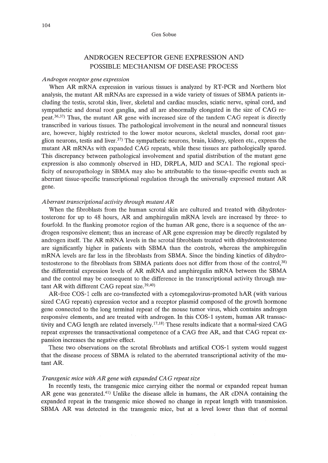# ANDROGEN RECEPTOR GENE EXPRESSION AND POSSIBLE MECHANISM OF DISEASE PROCESS

#### *Androgen receptor gene expression*

When AR mRNA expression in various tissues is analyzed by RT-PCR and Northern blot analysis, the mutant AR mRNAs are expressed in a wide variety of tissues of SBMA patients including the testis, scrotal skin, liver, skeletal and cardiac muscles, sciatic nerve, spinal cord, and sympathetic and dorsal root ganglia, and all are abnormally elongated in the size of CAG repeat.<sup>36,37)</sup> Thus, the mutant AR gene with increased size of the tandem CAG repeat is directly transcribed in various tissues. The pathological involvement in the neural and nonneural tissues are, however, highly restricted to the lower motor neurons, skeletal muscles, dorsal root ganglion neurons, testis and liver.<sup>37)</sup> The sympathetic neurons, brain, kidney, spleen etc., express the mutant AR mRNAs with expanded CAG repeats, while these tissues are pathologically spared. This discrepancy between pathological involvement and spatial distribution of the mutant gene expression is also commonly observed in HD, DRPLA, MJD and SCAL The regional specificity of neuropathology in SBMA may also be attributable to the tissue-specific events such as aberrant tissue-specific transcriptional regulation through the universally expressed mutant AR gene.

#### *Aberrant transcriptional activity through mutant AR*

When the fibroblasts from the human scrotal skin are cultured and treated with dihydrotestosterone for up to 48 hours, AR and amphiregulin mRNA levels are increased by three- to fourfold. In the flanking promotor region of the human AR gene, there is a sequence of the androgen responsive element; thus an increase of AR gene expression may be directly regulated by androgen itself. The AR mRNA levels in the scrotal fibroblasts treated with dihydrotestosterone are significantly higher in patients with SBMA than the controls, whereas the amphiregulin mRNA levels are far less in the fibroblasts from SBMA. Since the binding kinetics of dihydrotestosterone to the fibroblasts from SBMA patients does not differ from those of the control,38) the differential expression levels of AR mRNA and amphiregulin mRNA between the SBMA and the control may be consequent to the difference in the transcriptional activity through mutant AR with different CAG repeat size. 39,40)

AR-free COS-l cells are co-transfected with a cytomegalovirus-promoted hAR (with various sized CAG repeats) expression vector and a receptor plasmid composed of the growth hormone gene connected to the long terminal repeat of the mouse tumor virus, which contains androgen responsive elements, and are treated with androgen. In this COS-l system, human AR transactivity and CAG length are related inversely.17,18) These results indicate that a normal-sized CAG repeat expresses the transactivational competence of a CAG free AR, and that CAG repeat expansion increases the negative effect.

These two observations on the scrotal fibroblasts and artifical COS-l system would suggest that the disease process of SBMA is related to the aberrated transcriptional activity of the mutant AR.

# *Transgenic mice with AR gene with expanded CA* G *repeat size*

In recently tests, the transgenic mice carrying either the normal or expanded repeat human AR gene was generated.<sup>41</sup>) Unlike the disease allele in humans, the AR cDNA containing the expanded repeat in the transgenic mice showed no change in repeat length with transmission. SBMA AR was detected in the transgenic mice, but at a level lower than that of normal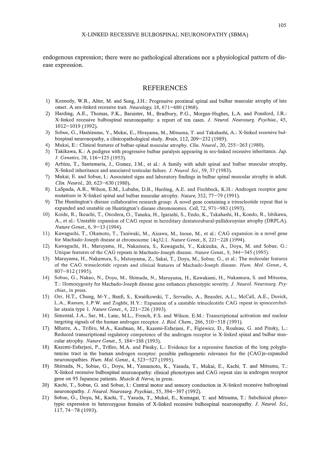endogenous expression; there were no pathological alterations nor a physiological pattern of disease expression.

#### REFERENCES

- 1) Kennedy, W.R., Alter, M. and Sung, J.H.: Progressive proximal spinal and bulbar muscular atrophy of late onset. A sex-linked recessive trait. *Neurology,* 18,671-680 (1968).
- 2) Harding, A.E., Thomas, P.K., Baraister, M., Bradbury, P.G., Morgan-Hughes, L.A. and Ponsford, J.R.: X-linked recessive bulbospinal neuronopathy: a report of ten cases. 1. *Neurol. Neurosurg. Psychiat., 45,* 1012-1019 (1992).
- 3) Sobue, G., Hashizume, Y., Mukai, E., Hirayama, M., Mitsuma, T. and Takahashi, A.: X-linked recessive bulbospinal neuronopathy, a clinicopathological study. *Brain,* 112, 209-232 (1989).
- 4) Mukai, E.: Clinical features of bulbar-spinal muscular atrophy. *Clin. Neurol.,* 20, 255-263 (1980).
- 5) Takikawa, K.: A pedigree with progressive bulbar paralysis appearing in sex-linked recessive inheritance. Jap. J. *Genetics,* 28,116-125 (1953).
- 6) Arbizu, T., Santamaria, 1., Gomez, J.M., et al.: A family with adult spinal and bulbar muscular atrophy, X-linked inheritance and associated testicular failure. J. *Neurol.* Sci., 59, 37 (1983).
- 7) Mukai, E. and Sobue, I.: Associated signs and laboratory findings in bulbar spinal muscular atrophy in adult. *Clin. Neurol.,* 20, 623-630 (1980).
- 8) LaSpada, A.R., Wilson, E.M., Lubahn, D.E., Harding, A.E. and Fischbeck, K.H.: Androgen receptor gene mutations in X-linked spinal and bulbar muscular atrophy. *Nature,* 352, 77-79 (1991).
- 9) The Huntington's disease collaborative research group: A novel gene containing a trinucleotide repeat that is expanded and unstable on Huntington's disease chromosomes. *Cell,* 72, 971-983 (1993).
- 10) Koide, R., Ikeuchi, T., Onodera, 0., Tanaka, H., Igarashi, S., Endo, K., Takahashi, H., Kondo, R., Ishikawa, A., et al.: Unstable expansion of CAG repeat in hereditary dentatorubural-pallidoruysian atrophy (DRPLA). *Nature Genet.,* 6, 9-13 (1994).
- 11) Kawaguchi, T., Okamoto, T., Taniwaki, M., Aizawa, M., Inoue, M., et al.: CAG expansion in a novel gene for Machado-Joseph disease at chromosome 14q32.1. *Nature Genet.,* 8, 221-228 (1994).
- 12) Kawaguchi, H., Maruyama, H., Nakamura, S., Kawaguchi, Y., Kakizuka, A., Doyu, M. and Sobue, G.: Unique features of the CAG repeats in Machado-Joseph disease. *Nature Genet.,* 9, 344-345 (1995).
- 13) Maruyama, H., Nakamura, S., Matsuyama, Z., Sakai, T., Doyu, M., Sobue, G., et al.: The molecular features of the CAG trinucleotide repeats and clinical features of Machado-Joseph disease. *Hum. Mol. Genet., 4,* 807-812 (1995).
- 14) Sobue, G., Nakao, N., Doyu, M., Shimada, N., Maruyama, H., Kawakami, H., Nakamura, S. and Mitsuma, T.: Homozygosity for Machado-Joseph disease gene enhances phenotypic severity. *J. Neurol. Neurosurg. Psychiat.,* in press.
- 15) Orr, H.T., Chung, M-Y., Banfi, S., Kwaitkowski, T., Servadio, A., Beaudet, A.L., McCall, A.E., Duvick, L.A., Ranum, L.P.W. and Zoghbi, H.Y.: Expansion of a unstable trinucleotide CAG repeat in spinocerebellar ataxia type 1. *Nature Genet.,* 4, 221-226 (1993).
- 16) Simental, J.A., Sar, M., Lane, M.L., French, F.S. and Wilson, E.M.: Transcriptional activation and nuclear targeting signals of the human androgen receptor. J. *BioI. Chern.,* 266, 510-518 (1991).
- 17) Mhatre, A., Trifiro, M.A., Kaufman, M., Kazemi-Esfarjani, P., Figlewicz, D., Rouleau, G. and Pinsky, L.: Reduced transcriptional regulatory competence of the androgen receptor in X-linked spinal and bulbar muscular atrophy. *Nature Genet.,* 5, 184-188 (1993).
- 18) Kazemi-Esfarjani, P., Trifiro, M.A. and Pinsky, L.: Evidence for a repressive function of the long polyglutamine tract in the human androgen receptor: possible pathogenetic relevance for the (CAG)n-expanded neuronopathies. *Hum. Mol. Genet.,* 4, 523-527 (1995).
- 19) Shimada, N., Sobue, G., Doyu, M., Yamamoto, K., Yasuda, T., Mukai, E., Kachi, T. and Mitsuma, T.: X-linked recessive bulbospinal neuronopathy: clinical phenotypes and CAG repeat size in androgen receptor gene on 95 Japanese patients. *Muscle* & *Nerve,* in press.
- 20) Kachi, T., Sobue, G. and Sobue, I.: Central motor and sensory conduction in X-linked recessive bulbospinal neuronopathy. J. *Neurol. Neurosurg. Psychiat.,* 55, 394-397 (1992).
- 21) Sobue, G., Doyu, M., Kachi, T., Yasuda, T., Mukai, E., Kumagai, T. and Mitsuma, T.: Subclinical phenotypic expression in heterozygous females of X-linked recessive bulbospinal neuronopathy. J. *Neurol.* Sci., 117,74-78 (1993).